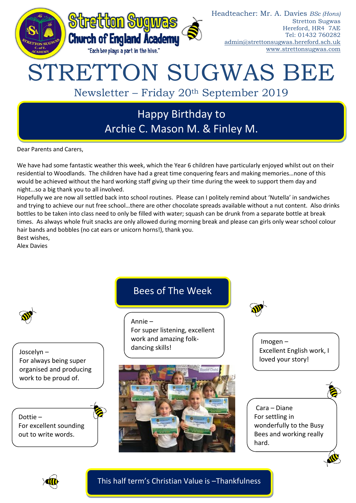

Dear Parents and Carers,

We have had some fantastic weather this week, which the Year 6 children have particularly enjoyed whilst out on their residential to Woodlands. The children have had a great time conquering fears and making memories…none of this would be achieved without the hard working staff giving up their time during the week to support them day and night…so a big thank you to all involved.

Hopefully we are now all settled back into school routines. Please can I politely remind about 'Nutella' in sandwiches and trying to achieve our nut free school…there are other chocolate spreads available without a nut content. Also drinks bottles to be taken into class need to only be filled with water; squash can be drunk from a separate bottle at break times. As always whole fruit snacks are only allowed during morning break and please can girls only wear school colour hair bands and bobbles (no cat ears or unicorn horns!), thank you.

Best wishes, Alex Davies





This half term's Christian Value is –Thankfulness